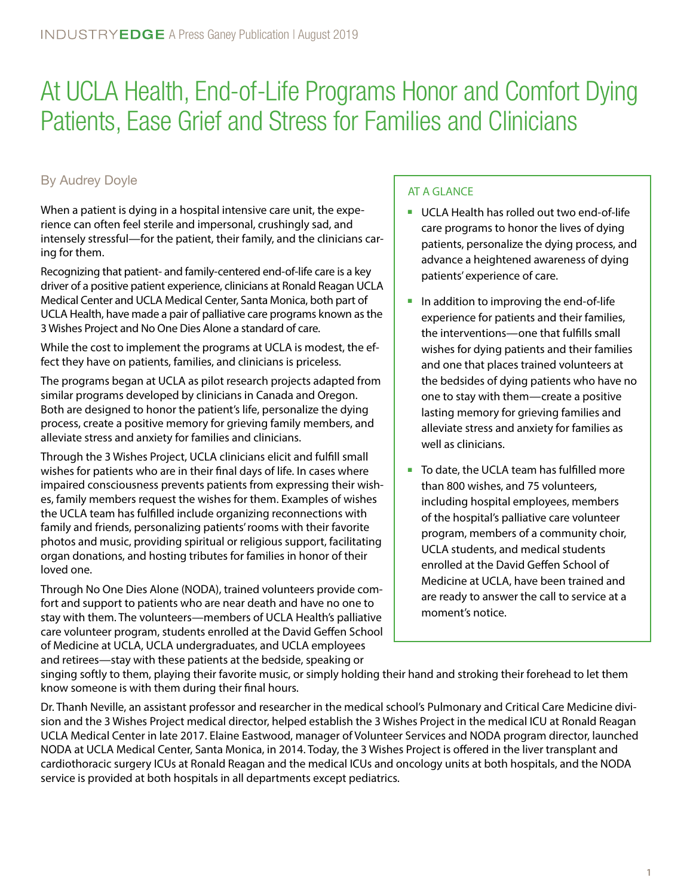# At UCLA Health, End-of-Life Programs Honor and Comfort Dying Patients, Ease Grief and Stress for Families and Clinicians

## By Audrey Doyle

When a patient is dying in a hospital intensive care unit, the experience can often feel sterile and impersonal, crushingly sad, and intensely stressful—for the patient, their family, and the clinicians caring for them.

Recognizing that patient- and family-centered end-of-life care is a key driver of a positive patient experience, clinicians at Ronald Reagan UCLA Medical Center and UCLA Medical Center, Santa Monica, both part of UCLA Health, have made a pair of palliative care programs known as the 3 Wishes Project and No One Dies Alone a standard of care.

While the cost to implement the programs at UCLA is modest, the effect they have on patients, families, and clinicians is priceless.

The programs began at UCLA as pilot research projects adapted from similar programs developed by clinicians in Canada and Oregon. Both are designed to honor the patient's life, personalize the dying process, create a positive memory for grieving family members, and alleviate stress and anxiety for families and clinicians.

Through the 3 Wishes Project, UCLA clinicians elicit and fulfill small wishes for patients who are in their final days of life. In cases where impaired consciousness prevents patients from expressing their wishes, family members request the wishes for them. Examples of wishes the UCLA team has fulfilled include organizing reconnections with family and friends, personalizing patients' rooms with their favorite photos and music, providing spiritual or religious support, facilitating organ donations, and hosting tributes for families in honor of their loved one.

Through No One Dies Alone (NODA), trained volunteers provide comfort and support to patients who are near death and have no one to stay with them. The volunteers—members of UCLA Health's palliative care volunteer program, students enrolled at the David Geffen School of Medicine at UCLA, UCLA undergraduates, and UCLA employees and retirees—stay with these patients at the bedside, speaking or

#### AT A GLANCE

- UCLA Health has rolled out two end-of-life care programs to honor the lives of dying patients, personalize the dying process, and advance a heightened awareness of dying patients' experience of care.
- In addition to improving the end-of-life experience for patients and their families, the interventions—one that fulfills small wishes for dying patients and their families and one that places trained volunteers at the bedsides of dying patients who have no one to stay with them—create a positive lasting memory for grieving families and alleviate stress and anxiety for families as well as clinicians.
- To date, the UCLA team has fulfilled more than 800 wishes, and 75 volunteers, including hospital employees, members of the hospital's palliative care volunteer program, members of a community choir, UCLA students, and medical students enrolled at the David Geffen School of Medicine at UCLA, have been trained and are ready to answer the call to service at a moment's notice.

singing softly to them, playing their favorite music, or simply holding their hand and stroking their forehead to let them know someone is with them during their final hours.

Dr. Thanh Neville, an assistant professor and researcher in the medical school's Pulmonary and Critical Care Medicine division and the 3 Wishes Project medical director, helped establish the 3 Wishes Project in the medical ICU at Ronald Reagan UCLA Medical Center in late 2017. Elaine Eastwood, manager of Volunteer Services and NODA program director, launched NODA at UCLA Medical Center, Santa Monica, in 2014. Today, the 3 Wishes Project is offered in the liver transplant and cardiothoracic surgery ICUs at Ronald Reagan and the medical ICUs and oncology units at both hospitals, and the NODA service is provided at both hospitals in all departments except pediatrics.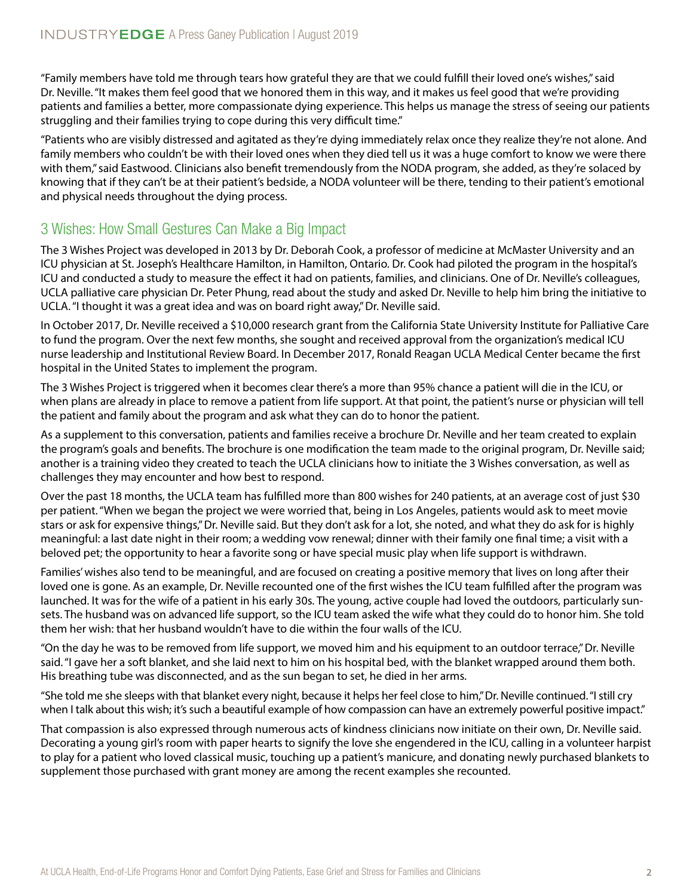"Family members have told me through tears how grateful they are that we could fulfill their loved one's wishes," said Dr. Neville. "It makes them feel good that we honored them in this way, and it makes us feel good that we're providing patients and families a better, more compassionate dying experience. This helps us manage the stress of seeing our patients struggling and their families trying to cope during this very difficult time."

"Patients who are visibly distressed and agitated as they're dying immediately relax once they realize they're not alone. And family members who couldn't be with their loved ones when they died tell us it was a huge comfort to know we were there with them," said Eastwood. Clinicians also benefit tremendously from the NODA program, she added, as they're solaced by knowing that if they can't be at their patient's bedside, a NODA volunteer will be there, tending to their patient's emotional and physical needs throughout the dying process.

# 3 Wishes: How Small Gestures Can Make a Big Impact

The 3 Wishes Project was developed in 2013 by Dr. Deborah Cook, a professor of medicine at McMaster University and an ICU physician at St. Joseph's Healthcare Hamilton, in Hamilton, Ontario. Dr. Cook had piloted the program in the hospital's ICU and conducted a study to measure the effect it had on patients, families, and clinicians. One of Dr. Neville's colleagues, UCLA palliative care physician Dr. Peter Phung, read about the study and asked Dr. Neville to help him bring the initiative to UCLA. "I thought it was a great idea and was on board right away," Dr. Neville said.

In October 2017, Dr. Neville received a \$10,000 research grant from the California State University Institute for Palliative Care to fund the program. Over the next few months, she sought and received approval from the organization's medical ICU nurse leadership and Institutional Review Board. In December 2017, Ronald Reagan UCLA Medical Center became the first hospital in the United States to implement the program.

The 3 Wishes Project is triggered when it becomes clear there's a more than 95% chance a patient will die in the ICU, or when plans are already in place to remove a patient from life support. At that point, the patient's nurse or physician will tell the patient and family about the program and ask what they can do to honor the patient.

As a supplement to this conversation, patients and families receive a brochure Dr. Neville and her team created to explain the program's goals and benefits. The brochure is one modification the team made to the original program, Dr. Neville said; another is a training video they created to teach the UCLA clinicians how to initiate the 3 Wishes conversation, as well as challenges they may encounter and how best to respond.

Over the past 18 months, the UCLA team has fulfilled more than 800 wishes for 240 patients, at an average cost of just \$30 per patient. "When we began the project we were worried that, being in Los Angeles, patients would ask to meet movie stars or ask for expensive things," Dr. Neville said. But they don't ask for a lot, she noted, and what they do ask for is highly meaningful: a last date night in their room; a wedding vow renewal; dinner with their family one final time; a visit with a beloved pet; the opportunity to hear a favorite song or have special music play when life support is withdrawn.

Families' wishes also tend to be meaningful, and are focused on creating a positive memory that lives on long after their loved one is gone. As an example, Dr. Neville recounted one of the first wishes the ICU team fulfilled after the program was launched. It was for the wife of a patient in his early 30s. The young, active couple had loved the outdoors, particularly sunsets. The husband was on advanced life support, so the ICU team asked the wife what they could do to honor him. She told them her wish: that her husband wouldn't have to die within the four walls of the ICU.

"On the day he was to be removed from life support, we moved him and his equipment to an outdoor terrace," Dr. Neville said. "I gave her a soft blanket, and she laid next to him on his hospital bed, with the blanket wrapped around them both. His breathing tube was disconnected, and as the sun began to set, he died in her arms.

"She told me she sleeps with that blanket every night, because it helps her feel close to him," Dr. Neville continued. "I still cry when I talk about this wish; it's such a beautiful example of how compassion can have an extremely powerful positive impact."

That compassion is also expressed through numerous acts of kindness clinicians now initiate on their own, Dr. Neville said. Decorating a young girl's room with paper hearts to signify the love she engendered in the ICU, calling in a volunteer harpist to play for a patient who loved classical music, touching up a patient's manicure, and donating newly purchased blankets to supplement those purchased with grant money are among the recent examples she recounted.